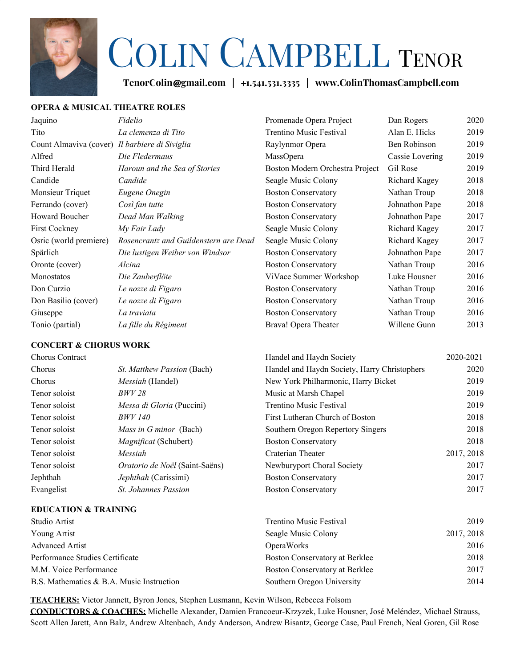

# COLIN CAMPBELL <sup>T</sup>ENOR

**TenorColin**@**gmail.com |** +**1.541.531.3335 | www.ColinThomasCampbell.com**

### **OPERA & MUSICAL THEATRE ROLES**

| Jaquino                                        | Fidelio                               | Promenade Opera Project         | Dan Rogers      | 2020 |
|------------------------------------------------|---------------------------------------|---------------------------------|-----------------|------|
| Tito                                           | La clemenza di Tito                   | Trentino Music Festival         | Alan E. Hicks   | 2019 |
| Count Almaviva (cover) Il barbiere di Siviglia |                                       | Raylynmor Opera                 | Ben Robinson    | 2019 |
| Alfred                                         | Die Fledermaus                        | MassOpera                       | Cassie Lovering | 2019 |
| Third Herald                                   | Haroun and the Sea of Stories         | Boston Modern Orchestra Project | Gil Rose        | 2019 |
| Candide                                        | Candide                               | Seagle Music Colony             | Richard Kagey   | 2018 |
| Monsieur Triquet                               | Eugene Onegin                         | <b>Boston Conservatory</b>      | Nathan Troup    | 2018 |
| Ferrando (cover)                               | Così fan tutte                        | <b>Boston Conservatory</b>      | Johnathon Pape  | 2018 |
| <b>Howard Boucher</b>                          | Dead Man Walking                      | <b>Boston Conservatory</b>      | Johnathon Pape  | 2017 |
| First Cockney                                  | My Fair Lady                          | Seagle Music Colony             | Richard Kagey   | 2017 |
| Osric (world premiere)                         | Rosencrantz and Guildenstern are Dead | Seagle Music Colony             | Richard Kagey   | 2017 |
| Spärlich                                       | Die lustigen Weiber von Windsor       | <b>Boston Conservatory</b>      | Johnathon Pape  | 2017 |
| Oronte (cover)                                 | Alcina                                | <b>Boston Conservatory</b>      | Nathan Troup    | 2016 |
| Monostatos                                     | Die Zauberflöte                       | ViVace Summer Workshop          | Luke Housner    | 2016 |
| Don Curzio                                     | Le nozze di Figaro                    | <b>Boston Conservatory</b>      | Nathan Troup    | 2016 |
| Don Basilio (cover)                            | Le nozze di Figaro                    | <b>Boston Conservatory</b>      | Nathan Troup    | 2016 |
| Giuseppe                                       | La traviata                           | <b>Boston Conservatory</b>      | Nathan Troup    | 2016 |
| Tonio (partial)                                | La fille du Régiment                  | Brava! Opera Theater            | Willene Gunn    | 2013 |
|                                                |                                       |                                 |                 |      |

#### **CONCERT & CHORUS WORK**

| <b>Chorus Contract</b> |                                   | Handel and Haydn Society                     | 2020-2021  |
|------------------------|-----------------------------------|----------------------------------------------|------------|
| Chorus                 | <i>St. Matthew Passion (Bach)</i> | Handel and Haydn Society, Harry Christophers | 2020       |
| Chorus                 | <i>Messiah</i> (Handel)           | New York Philharmonic, Harry Bicket          | 2019       |
| Tenor soloist          | <i>BWV 28</i>                     | Music at Marsh Chapel                        | 2019       |
| Tenor soloist          | Messa di Gloria (Puccini)         | Trentino Music Festival                      | 2019       |
| Tenor soloist          | <i>BWV 140</i>                    | First Lutheran Church of Boston              | 2018       |
| Tenor soloist          | <i>Mass in G minor</i> (Bach)     | Southern Oregon Repertory Singers            | 2018       |
| Tenor soloist          | Magnificat (Schubert)             | <b>Boston Conservatory</b>                   | 2018       |
| Tenor soloist          | Messiah                           | Craterian Theater                            | 2017, 2018 |
| Tenor soloist          | Oratorio de Noël (Saint-Saëns)    | Newburyport Choral Society                   | 2017       |
| Jephthah               | Jephthah (Carissimi)              | <b>Boston Conservatory</b>                   | 2017       |
| Evangelist             | <i>St. Johannes Passion</i>       | <b>Boston Conservatory</b>                   | 2017       |

#### **EDUCATION & TRAINING**

| Studio Artist                             | Trentino Music Festival        | 2019       |
|-------------------------------------------|--------------------------------|------------|
| Young Artist                              | Seagle Music Colony            | 2017, 2018 |
| <b>Advanced Artist</b>                    | <b>OperaWorks</b>              | 2016       |
| Performance Studies Certificate           | Boston Conservatory at Berklee | 2018       |
| M.M. Voice Performance                    | Boston Conservatory at Berklee | 2017       |
| B.S. Mathematics & B.A. Music Instruction | Southern Oregon University     | 2014       |

**TEACHERS:** Victor Jannett, Byron Jones, Stephen Lusmann, Kevin Wilson, Rebecca Folsom

**CONDUCTORS & COACHES:** Michelle Alexander, Damien Francoeur-Krzyzek, Luke Housner, José Meléndez, Michael Strauss, Scott Allen Jarett, Ann Balz, Andrew Altenbach, Andy Anderson, Andrew Bisantz, George Case, Paul French, Neal Goren, Gil Rose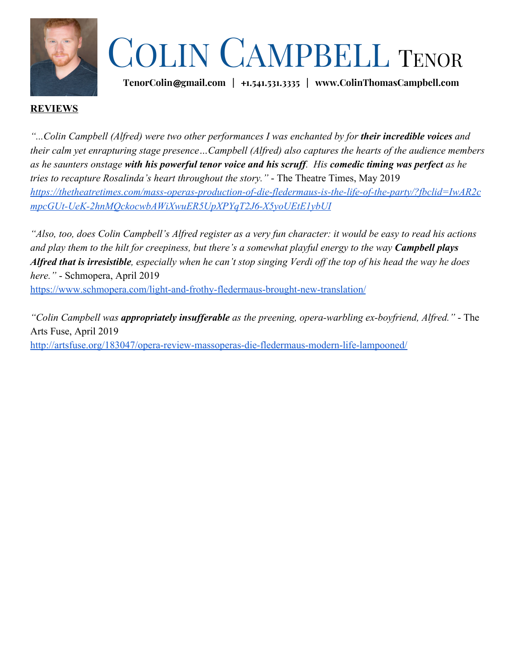

## COLIN CAMPBELL <sup>T</sup>ENOR

**TenorColin**@**gmail.com |** +**1.541.531.3335 | www.ColinThomasCampbell.com**

### **REVIEWS**

"...Colin Campbell (Alfred) were two other performances I was enchanted by for **their incredible voices** and *their calm yet enrapturing stage presence…Campbell (Alfred) also captures the hearts of the audience members as he saunters onstage with his powerful tenor voice and his scruff. His comedic timing was perfect as he tries to recapture Rosalinda's heart throughout the story."* - The Theatre Times, May 2019 *[https://thetheatretimes.com/mass-operas-production-of-die-fledermaus-is-the-life-of-the-party/?fbclid=IwAR2c](https://thetheatretimes.com/mass-operas-production-of-die-fledermaus-is-the-life-of-the-party/?fbclid=IwAR2cmpcGUt-UeK-2hnMQckocwbAWiXwuER5UpXPYqT2J6-X5yoUEtE1ybUI) [mpcGUt-UeK-2hnMQckocwbAWiXwuER5UpXPYqT2J6-X5yoUEtE1ybUI](https://thetheatretimes.com/mass-operas-production-of-die-fledermaus-is-the-life-of-the-party/?fbclid=IwAR2cmpcGUt-UeK-2hnMQckocwbAWiXwuER5UpXPYqT2J6-X5yoUEtE1ybUI)*

*"Also, too, does Colin Campbell's Alfred register as a very fun character: it would be easy to read his actions and play them to the hilt for creepiness, but there's a somewhat playful energy to the way Campbell plays Alfred that is irresistible, especially when he can't stop singing Verdi off the top of his head the way he does here."* - Schmopera, April 2019

<https://www.schmopera.com/light-and-frothy-fledermaus-brought-new-translation/>

*"Colin Campbell was appropriately insufferable as the preening, opera-warbling ex-boyfriend, Alfred."* - The Arts Fuse, April 2019 <http://artsfuse.org/183047/opera-review-massoperas-die-fledermaus-modern-life-lampooned/>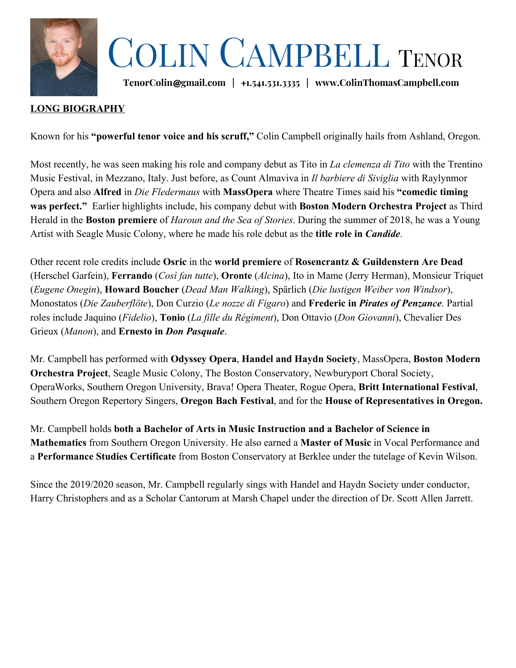

## COLIN CAMPBELL <sup>T</sup>ENOR

**TenorColin**@**gmail.com |** +**1.541.531.3335 | www.ColinThomasCampbell.com**

## **LONG BIOGRAPHY**

Known for his **"powerful tenor voice and his scruff,"** Colin Campbell originally hails from Ashland, Oregon.

Most recently, he was seen making his role and company debut as Tito in *La clemenza di Tito* with the Trentino Music Festival, in Mezzano, Italy. Just before, as Count Almaviva in *Il barbiere di Siviglia* with Raylynmor Opera and also **Alfred** in *Die Fledermaus* with **MassOpera** where Theatre Times said his **"comedic timing was perfect."** Earlier highlights include, his company debut with **Boston Modern Orchestra Project** as Third Herald in the **Boston premiere** of *Haroun and the Sea of Stories*. During the summer of 2018, he was a Young Artist with Seagle Music Colony, where he made his role debut as the **title role in** *Candide*.

Other recent role credits include **Osric** in the **world premiere** of **Rosencrantz & Guildenstern Are Dead** (Herschel Garfein), **Ferrando** (*Così fan tutte*), **Oronte** (*Alcina*), Ito in Mame (Jerry Herman), Monsieur Triquet (*Eugene Onegin*), **Howard Boucher** (*Dead Man Walking*), Spärlich (*Die lustigen Weiber von Windsor*), Monostatos (*Die Zauberflöte*), Don Curzio (*Le nozze di Figaro*) and **Frederic in** *Pirates of Penzance*. Partial roles include Jaquino (*Fidelio*), **Tonio** (*La fille du Régiment*), Don Ottavio (*Don Giovanni*), Chevalier Des Grieux (*Manon*), and **Ernesto in** *Don Pasquale*.

Mr. Campbell has performed with **Odyssey Opera**, **Handel and Haydn Society**, MassOpera, **Boston Modern Orchestra Project**, Seagle Music Colony, The Boston Conservatory, Newburyport Choral Society, OperaWorks, Southern Oregon University, Brava! Opera Theater, Rogue Opera, **Britt International Festival**, Southern Oregon Repertory Singers, **Oregon Bach Festival**, and for the **House of Representatives in Oregon.**

Mr. Campbell holds **both a Bachelor of Arts in Music Instruction and a Bachelor of Science in Mathematics** from Southern Oregon University. He also earned a **Master of Music** in Vocal Performance and a **Performance Studies Certificate** from Boston Conservatory at Berklee under the tutelage of Kevin Wilson.

Since the 2019/2020 season, Mr. Campbell regularly sings with Handel and Haydn Society under conductor, Harry Christophers and as a Scholar Cantorum at Marsh Chapel under the direction of Dr. Scott Allen Jarrett.